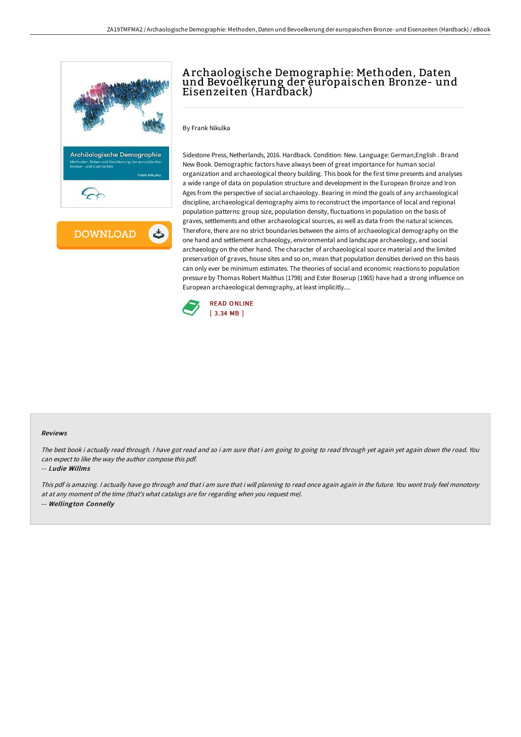

**DOWNLOAD** ٹ

# A rchaologische Demographie: Methoden, Daten und Bevoelkerung der europaischen Bronze- und Eisenzeiten (Hardback)

By Frank Nikulka

Sidestone Press, Netherlands, 2016. Hardback. Condition: New. Language: German,English . Brand New Book. Demographic factors have always been of great importance for human social organization and archaeological theory building. This book for the first time presents and analyses a wide range of data on population structure and development in the European Bronze and Iron Ages from the perspective of social archaeology. Bearing in mind the goals of any archaeological discipline, archaeological demography aims to reconstruct the importance of local and regional population patterns: group size, population density, fluctuations in population on the basis of graves, settlements and other archaeological sources, as well as data from the natural sciences. Therefore, there are no strict boundaries between the aims of archaeological demography on the one hand and settlement archaeology, environmental and landscape archaeology, and social archaeology on the other hand. The character of archaeological source material and the limited preservation of graves, house sites and so on, mean that population densities derived on this basis can only ever be minimum estimates. The theories of social and economic reactions to population pressure by Thomas Robert Malthus (1798) and Ester Boserup (1965) have had a strong influence on European archaeological demography, at least implicitly....



#### Reviews

The best book i actually read through. I have got read and so i am sure that i am going to going to read through yet again yet again down the road. You can expect to like the way the author compose this pdf.

#### -- Ludie Willms

This pdf is amazing. <sup>I</sup> actually have go through and that i am sure that i will planning to read once again again in the future. You wont truly feel monotony at at any moment of the time (that's what catalogs are for regarding when you request me). -- Wellington Connelly